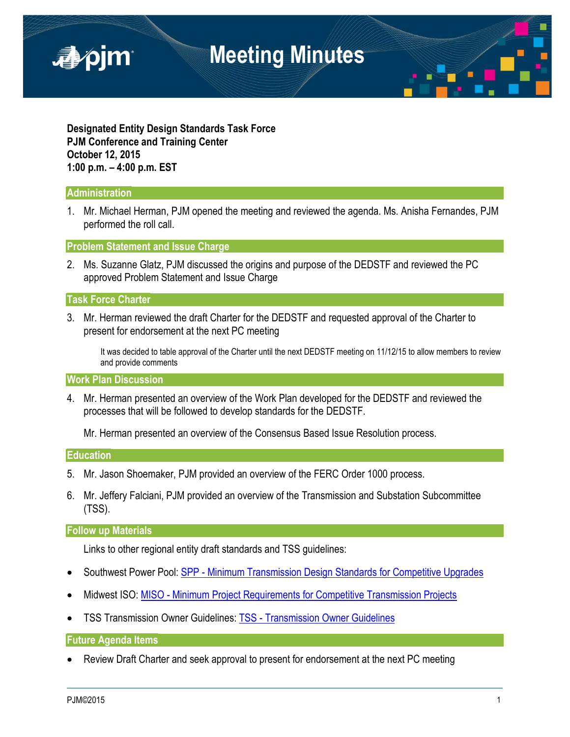

**Designated Entity Design Standards Task Force PJM Conference and Training Center October 12, 2015 1:00 p.m. – 4:00 p.m. EST**

# **Administration**

1. Mr. Michael Herman, PJM opened the meeting and reviewed the agenda. Ms. Anisha Fernandes, PJM performed the roll call.

**Problem Statement and Issue Charge**

2. Ms. Suzanne Glatz, PJM discussed the origins and purpose of the DEDSTF and reviewed the PC approved Problem Statement and Issue Charge

# **Task Force Charter**

3. Mr. Herman reviewed the draft Charter for the DEDSTF and requested approval of the Charter to present for endorsement at the next PC meeting

It was decided to table approval of the Charter until the next DEDSTF meeting on 11/12/15 to allow members to review and provide comments

# **Work Plan Discussion**

4. Mr. Herman presented an overview of the Work Plan developed for the DEDSTF and reviewed the processes that will be followed to develop standards for the DEDSTF.

Mr. Herman presented an overview of the Consensus Based Issue Resolution process.

### **Education**

- 5. Mr. Jason Shoemaker, PJM provided an overview of the FERC Order 1000 process.
- 6. Mr. Jeffery Falciani, PJM provided an overview of the Transmission and Substation Subcommittee (TSS).

### **Follow up Materials**

Links to other regional entity draft standards and TSS guidelines:

- Southwest Power Pool: SPP [Minimum Transmission Design Standards for Competitive Upgrades](http://www.spp.org/documents/26087/minimum_design_standard_rev_1.pdf)
- Midwest ISO: MISO [Minimum Project Requirements for Competitive Transmission Projects](https://www.misoenergy.org/Library/Repository/Tariff/BPM%20Drafts/DRAFT%20BPM-029%20Minimum%20Project%20Requirements%20for%20Competitive%20Transmission%20Projects_Clean.pdf)
- TSS Transmission Owner Guidelines: TSS [Transmission Owner Guidelines](http://www.pjm.com/planning/design-engineering/maac-to-guidelines.aspx)

# **Future Agenda Items**

• Review Draft Charter and seek approval to present for endorsement at the next PC meeting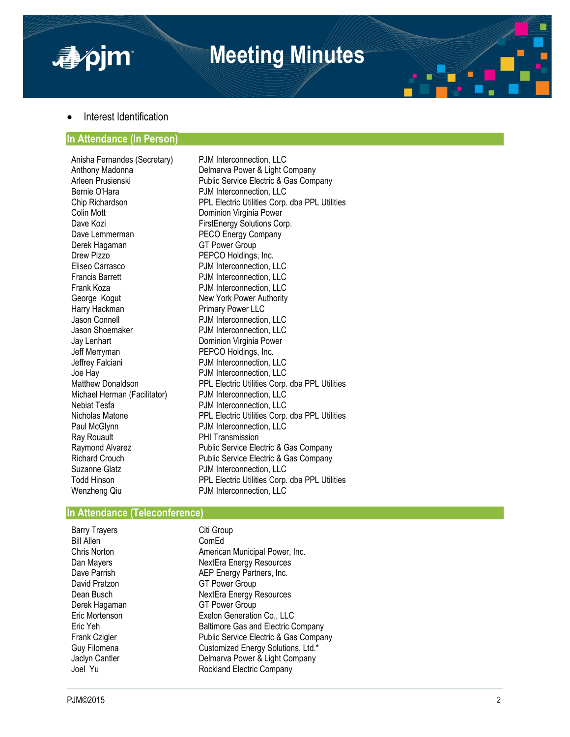

# **Meeting Minutes**



# Interest Identification

### **In Attendance (In Person)**

Anisha Fernandes (Secretary) PJM Interconnection, LLC<br>Anthony Madonna **Polity Communish Power & Light C** Colin Mott **Dominion Virginia Power** Dave Kozi **FirstEnergy Solutions Corp.** Dave Lemmerman PECO Energy Company Derek Hagaman GT Power Group Drew Pizzo **PEPCO Holdings, Inc.**<br>
Fliseo Carrasco **P.J.M.** Interconnection. I Eliseo Carrasco PJM Interconnection, LLC Frank Koza **PJM** Interconnection, LLC George Kogut **New York Power Authority**<br>
Harry Hackman **New York Primary Power LLC** Jason Connell PJM Interconnection, LLC Jason Shoemaker PJM Interconnection, LLC Jay Lenhart **Dominion Virginia Power** Jeff Merryman PEPCO Holdings, Inc. Jeffrey Falciani **PJM** Interconnection, LLC Joe Hay **Donaldson** PJM Interconnection, LLC<br> **Matthew Donaldson** PPL Electric Utilities Corp. Michael Herman (Facilitator) Nebiat Tesfa **P**JM Interconnection, LLC<br>Nicholas Matone **PPL Electric Utilities Corp.** Ray Rouault **PHI Transmission** Suzanne Glatz **PJM** Interconnection, LLC Wenzheng Qiu **PJM Interconnection, LLC** 

Anthony Madonna **Delmarva Power & Light Company**<br> **Arleen Prusienski** Public Service Flectric & Gas Company Arleen Prusienski **Public Service Electric & Gas Company**<br> **R**. P.J.M Interconnection LLC PJM Interconnection, LLC Chip Richardson PPL Electric Utilities Corp. dba PPL Utilities PJM Interconnection, LLC Primary Power LLC PPL Electric Utilities Corp. dba PPL Utilities Corp. dba PPL Utilities Nicholas Matone **PPL Electric Utilities Corp.** dba PPL Utilities Corp. dba PPL Utilities Paul McGlynn PJM Interconnection, LLC Raymond Alvarez **Public Service Electric & Gas Company** Richard Crouch Public Service Electric & Gas Company Todd Hinson PPL Electric Utilities Corp. dba PPL Utilities

### **In Attendance (Teleconference)**

Barry Trayers **Citi Group** Bill Allen ComEd

Chris Norton **American Municipal Power, Inc.** Dan Mayers **NextEra Energy Resources**<br>
Dave Parrish **NEP Energy Partners** Inc. Dave Parrish **AEP Energy Partners, Inc.**<br>
David Pratzon **ACC ST Power Group** David Pratzon GT Power Group<br>
Dean Busch Gear NextEra Energy F **NextEra Energy Resources** Derek Hagaman GT Power Group<br>
Eric Mortenson GET Exelon Generation Exelon Generation Co., LLC Eric Yeh Baltimore Gas and Electric Company Frank Czigler **Public Service Electric & Gas Company** Guy Filomena **Customized Energy Solutions, Ltd.\*** Jaclyn Cantler **Delmarva Power & Light Company** Joel Yu **Rockland Electric Company**